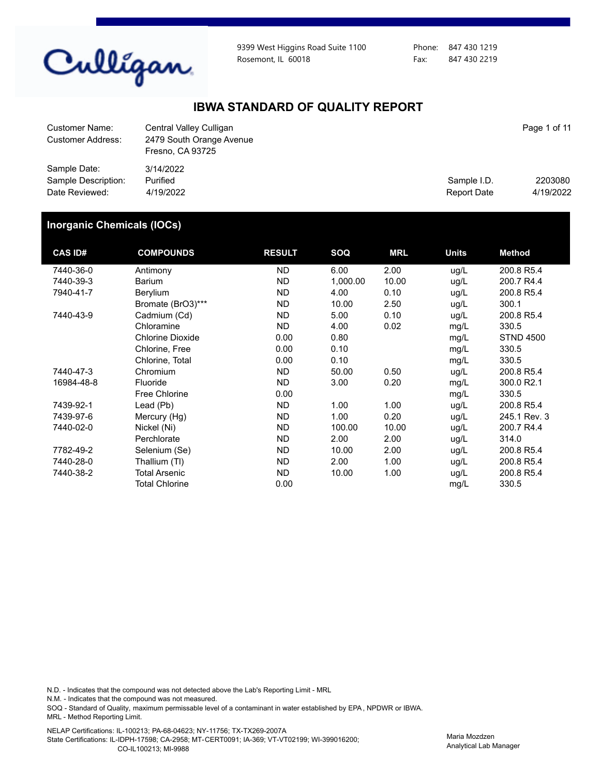

9399 West Higgins Road Suite 1100 Rosemont, IL 60018

Phone: 847 430 1219 Fax: 847 430 2219

### **IBWA STANDARD OF QUALITY REPORT**

| Customer Name:<br>Customer Address:                   | Central Valley Culligan<br>2479 South Orange Avenue<br>Fresno, CA 93725 |                            | Page 1 of 11         |
|-------------------------------------------------------|-------------------------------------------------------------------------|----------------------------|----------------------|
| Sample Date:<br>Sample Description:<br>Date Reviewed: | 3/14/2022<br>Purified<br>4/19/2022                                      | Sample I.D.<br>Report Date | 2203080<br>4/19/2022 |

#### **Inorganic Chemicals (IOCs)**

| <b>CAS ID#</b> | <b>COMPOUNDS</b>        | <b>RESULT</b> | SOQ      | <b>MRL</b> | <b>Units</b> | <b>Method</b>    |
|----------------|-------------------------|---------------|----------|------------|--------------|------------------|
| 7440-36-0      | Antimony                | ND.           | 6.00     | 2.00       | ug/L         | 200.8 R5.4       |
| 7440-39-3      | <b>Barium</b>           | <b>ND</b>     | 1,000.00 | 10.00      | ug/L         | 200.7 R4.4       |
| 7940-41-7      | Berylium                | ND.           | 4.00     | 0.10       | ug/L         | 200.8 R5.4       |
|                | Bromate (BrO3)***       | <b>ND</b>     | 10.00    | 2.50       | ug/L         | 300.1            |
| 7440-43-9      | Cadmium (Cd)            | ND.           | 5.00     | 0.10       | ug/L         | 200.8 R5.4       |
|                | Chloramine              | ND.           | 4.00     | 0.02       | mg/L         | 330.5            |
|                | <b>Chlorine Dioxide</b> | 0.00          | 0.80     |            | mg/L         | <b>STND 4500</b> |
|                | Chlorine, Free          | 0.00          | 0.10     |            | mg/L         | 330.5            |
|                | Chlorine, Total         | 0.00          | 0.10     |            | mg/L         | 330.5            |
| 7440-47-3      | Chromium                | <b>ND</b>     | 50.00    | 0.50       | ug/L         | 200.8 R5.4       |
| 16984-48-8     | Fluoride                | ND.           | 3.00     | 0.20       | mg/L         | 300.0 R2.1       |
|                | <b>Free Chlorine</b>    | 0.00          |          |            | mg/L         | 330.5            |
| 7439-92-1      | Lead (Pb)               | ND.           | 1.00     | 1.00       | ug/L         | 200.8 R5.4       |
| 7439-97-6      | Mercury (Hg)            | ND.           | 1.00     | 0.20       | ug/L         | 245.1 Rev. 3     |
| 7440-02-0      | Nickel (Ni)             | <b>ND</b>     | 100.00   | 10.00      | ug/L         | 200.7 R4.4       |
|                | Perchlorate             | ND.           | 2.00     | 2.00       | ug/L         | 314.0            |
| 7782-49-2      | Selenium (Se)           | ND            | 10.00    | 2.00       | ug/L         | 200.8 R5.4       |
| 7440-28-0      | Thallium (TI)           | ND            | 2.00     | 1.00       | ug/L         | 200.8 R5.4       |
| 7440-38-2      | <b>Total Arsenic</b>    | ND.           | 10.00    | 1.00       | ug/L         | 200.8 R5.4       |
|                | <b>Total Chlorine</b>   | 0.00          |          |            | mg/L         | 330.5            |

N.D. - Indicates that the compound was not detected above the Lab's Reporting Limit - MRL

N.M. - Indicates that the compound was not measured.

SOQ - Standard of Quality, maximum permissable level of a contaminant in water established by EPA, NPDWR or IBWA. MRL - Method Reporting Limit.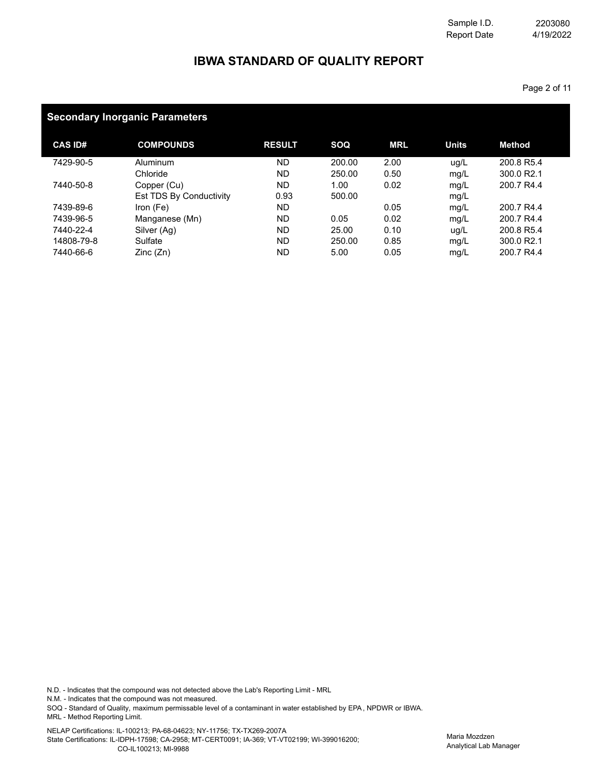Page 2 of 11

# **IBWA STANDARD OF QUALITY REPORT**

### **Secondary Inorganic Parameters**

| <b>CAS ID#</b> | <b>COMPOUNDS</b>        | <b>RESULT</b> | SOQ    | <b>MRL</b> | <b>Units</b> | <b>Method</b>          |
|----------------|-------------------------|---------------|--------|------------|--------------|------------------------|
| 7429-90-5      | Aluminum                | <b>ND</b>     | 200.00 | 2.00       | ug/L         | 200.8 R5.4             |
|                | Chloride                | <b>ND</b>     | 250.00 | 0.50       | mg/L         | 300.0 R2.1             |
| 7440-50-8      | Copper (Cu)             | ND            | 1.00   | 0.02       | mg/L         | 200.7 R4.4             |
|                | Est TDS By Conductivity | 0.93          | 500.00 |            | mg/L         |                        |
| 7439-89-6      | Iron $(Fe)$             | <b>ND</b>     |        | 0.05       | mg/L         | 200.7 R4.4             |
| 7439-96-5      | Manganese (Mn)          | <b>ND</b>     | 0.05   | 0.02       | mg/L         | 200.7 R4.4             |
| 7440-22-4      | Silver (Ag)             | <b>ND</b>     | 25.00  | 0.10       | ug/L         | 200.8 R5.4             |
| 14808-79-8     | Sulfate                 | <b>ND</b>     | 250.00 | 0.85       | mg/L         | 300.0 R <sub>2.1</sub> |
| 7440-66-6      | Zinc(Zn)                | ND            | 5.00   | 0.05       | mg/L         | 200.7 R4.4             |

N.D. - Indicates that the compound was not detected above the Lab's Reporting Limit - MRL

N.M. - Indicates that the compound was not measured.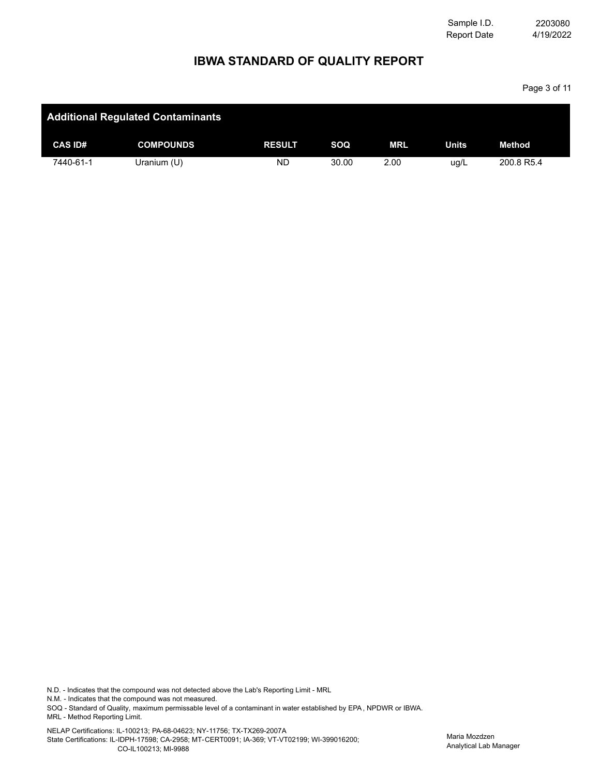Report Date Sample I.D. 4/19/2022 2203080

Page 3 of 11

## **IBWA STANDARD OF QUALITY REPORT**

|                | <b>Additional Regulated Contaminants</b> |               |            |            |              |            |
|----------------|------------------------------------------|---------------|------------|------------|--------------|------------|
| <b>CAS ID#</b> | <b>COMPOUNDS</b>                         | <b>RESULT</b> | <b>SOQ</b> | <b>MRL</b> | <b>Units</b> | Method     |
| 7440-61-1      | Uranium (U)                              | ND            | 30.00      | 2.00       | ug/L         | 200.8 R5.4 |

N.D. - Indicates that the compound was not detected above the Lab's Reporting Limit - MRL

N.M. - Indicates that the compound was not measured.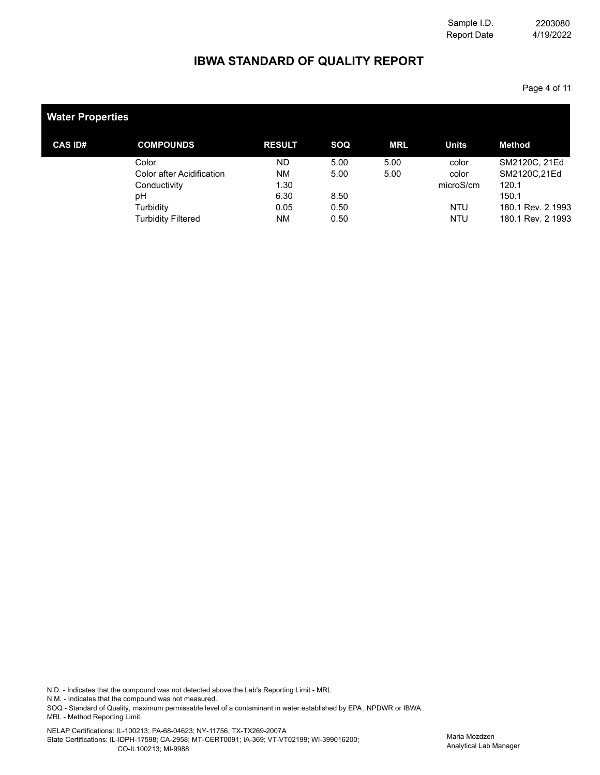## **IBWA STANDARD OF QUALITY REPORT**

Page 4 of 11

| <b>Water Properties</b> |                           |               |      |            |              |                   |
|-------------------------|---------------------------|---------------|------|------------|--------------|-------------------|
| <b>CAS ID#</b>          | <b>COMPOUNDS</b>          | <b>RESULT</b> | SOQ  | <b>MRL</b> | <b>Units</b> | Method            |
|                         | Color                     | <b>ND</b>     | 5.00 | 5.00       | color        | SM2120C, 21Ed     |
|                         | Color after Acidification | <b>NM</b>     | 5.00 | 5.00       | color        | SM2120C,21Ed      |
|                         | Conductivity              | 1.30          |      |            | microS/cm    | 120.1             |
|                         | рH                        | 6.30          | 8.50 |            |              | 150.1             |
|                         | Turbidity                 | 0.05          | 0.50 |            | <b>NTU</b>   | 180.1 Rev. 2 1993 |
|                         | <b>Turbidity Filtered</b> | <b>NM</b>     | 0.50 |            | <b>NTU</b>   | 180.1 Rev. 2 1993 |

N.D. - Indicates that the compound was not detected above the Lab's Reporting Limit - MRL

N.M. - Indicates that the compound was not measured.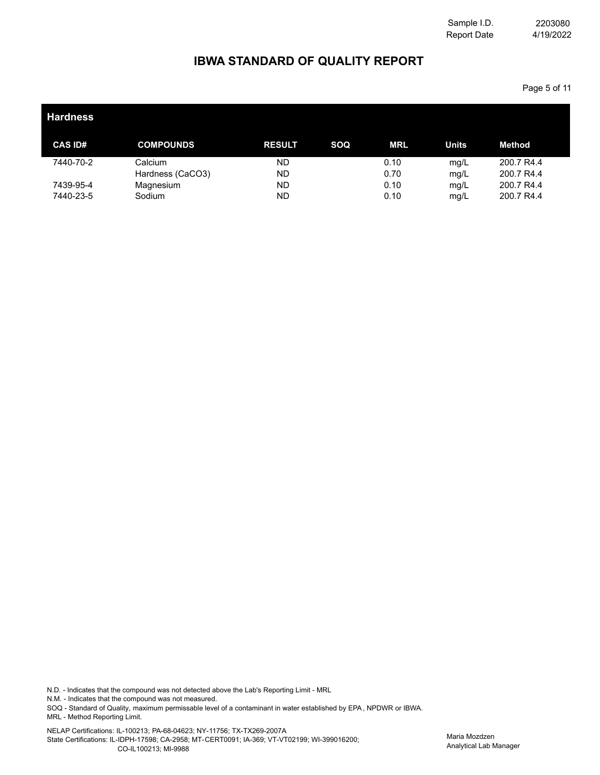Page 5 of 11

## **IBWA STANDARD OF QUALITY REPORT**

| <b>Hardness</b>        |                             |                        |     |              |              |                          |  |
|------------------------|-----------------------------|------------------------|-----|--------------|--------------|--------------------------|--|
| <b>CAS ID#</b>         | <b>COMPOUNDS</b>            | <b>RESULT</b>          | SOQ | MRL          | <b>Units</b> | <b>Method</b>            |  |
| 7440-70-2              | Calcium<br>Hardness (CaCO3) | <b>ND</b><br><b>ND</b> |     | 0.10<br>0.70 | mg/L<br>mg/L | 200.7 R4.4<br>200.7 R4.4 |  |
| 7439-95-4<br>7440-23-5 | Magnesium<br>Sodium         | <b>ND</b><br><b>ND</b> |     | 0.10<br>0.10 | mg/L<br>mg/L | 200.7 R4.4<br>200.7 R4.4 |  |

N.D. - Indicates that the compound was not detected above the Lab's Reporting Limit - MRL

N.M. - Indicates that the compound was not measured.

SOQ - Standard of Quality, maximum permissable level of a contaminant in water established by EPA, NPDWR or IBWA. MRL - Method Reporting Limit.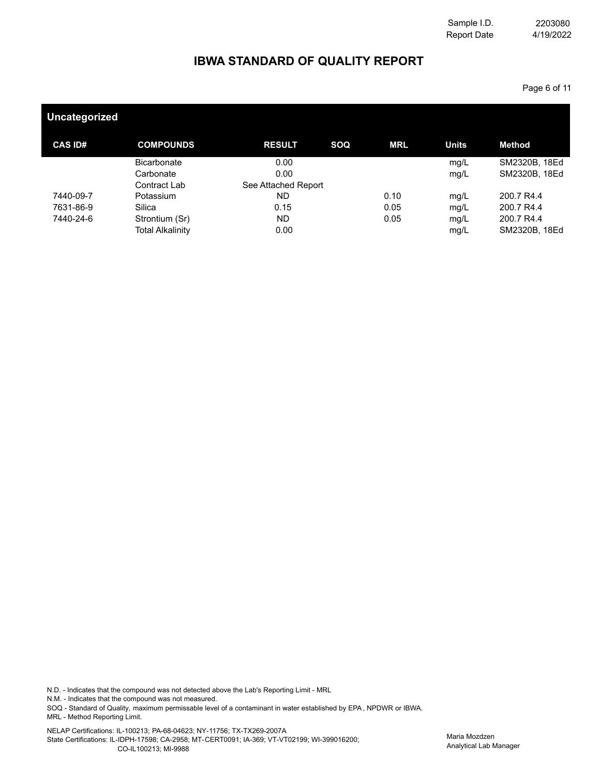Page 6 of 11

# **IBWA STANDARD OF QUALITY REPORT**

| <b>COMPOUNDS</b>        | <b>RESULT</b>       | SOQ | <b>MRL</b> | <b>Units</b> | <b>Method</b> |
|-------------------------|---------------------|-----|------------|--------------|---------------|
| <b>Bicarbonate</b>      | 0.00                |     |            | mg/L         | SM2320B, 18Ed |
| Carbonate               | 0.00                |     |            | mg/L         | SM2320B, 18Ed |
| Contract Lab            | See Attached Report |     |            |              |               |
| Potassium               | ND.                 |     | 0.10       | mg/L         | 200.7 R4.4    |
| Silica                  | 0.15                |     | 0.05       | mg/L         | 200.7 R4.4    |
| Strontium (Sr)          | ND.                 |     | 0.05       | mg/L         | 200.7 R4.4    |
| <b>Total Alkalinity</b> | 0.00                |     |            | mg/L         | SM2320B, 18Ed |
|                         |                     |     |            |              |               |

N.D. - Indicates that the compound was not detected above the Lab's Reporting Limit - MRL

N.M. - Indicates that the compound was not measured.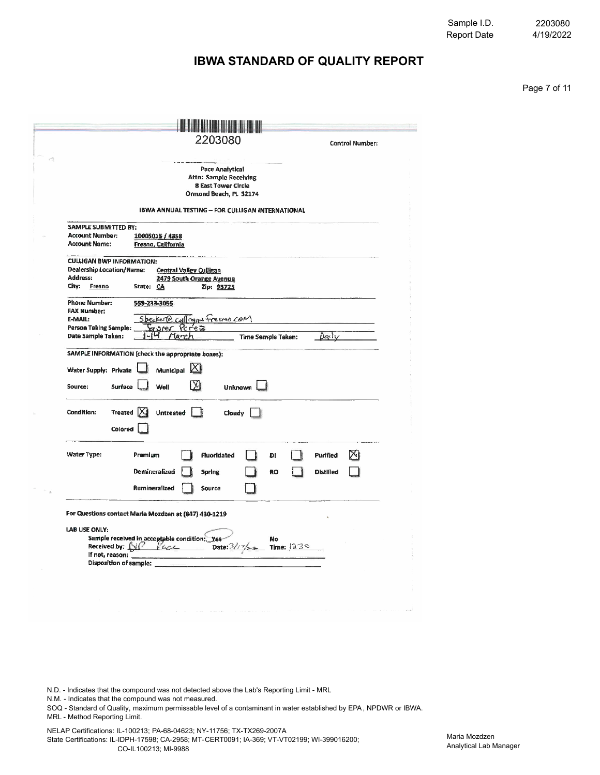4/19/2022 2203080

Page 7 of 11

## **IBWA STANDARD OF QUALITY REPORT**

|                                                | Pace Analytical<br><b>Attn: Sample Receiving</b>                                                    |  |
|------------------------------------------------|-----------------------------------------------------------------------------------------------------|--|
|                                                | 8 East Tower Circle                                                                                 |  |
|                                                | Ormond Beach, FL 32174                                                                              |  |
|                                                | IBWA ANNUAL TESTING - FOR CULLIGAN INTERNATIONAL                                                    |  |
| SAMPLE SUBMITTED BY:                           |                                                                                                     |  |
| Account Number:<br><b>Account Name:</b>        | 10005015 / 4358<br>Fresno, California                                                               |  |
| <b>CULLIGAN BWP INFORMATION:</b>               |                                                                                                     |  |
| <b>Dealership Location/Name:</b>               | <b>Central Valley Culligan</b>                                                                      |  |
| Address:<br>City:<br>Fresno                    | 2479 South Orange Avenue<br>State: CA<br>Zip: 93725                                                 |  |
| <b>Phone Number:</b>                           | 559-233-3055                                                                                        |  |
| <b>FAX Number:</b>                             |                                                                                                     |  |
| <b>E-MAIL:</b><br><b>Person Taking Sample:</b> | Specker@ cullingers freeno com<br>7.9PET                                                            |  |
| Date Sample Taken:                             | Darliv<br><b>Time Sample Taken:</b><br>la r                                                         |  |
| Source:<br>Condition:                          | Surface<br>Well<br><b>Unknown</b><br>Treated X<br>Untreated<br>Cloudy                               |  |
|                                                | Colored                                                                                             |  |
|                                                |                                                                                                     |  |
| Water Type:                                    | Premium<br>Fluoridated<br>DI<br><b>Purified</b><br>ЖI                                               |  |
|                                                |                                                                                                     |  |
|                                                | Demineralized<br><b>Spring</b><br><b>Distilled</b><br>RO<br>Remineralized<br>Source                 |  |
|                                                |                                                                                                     |  |
|                                                | For Questions contact Maria Mozdzen at (847) 430-1219                                               |  |
|                                                |                                                                                                     |  |
| Received by: XI                                | Sample received in acceptable condition: Yes-<br>No<br>Date: $\frac{3}{126}$<br>Time: $1239$<br>Kac |  |
| <b>LAB USE ONLY:</b><br>If not, reason:        | <b>Disposition of sample:</b>                                                                       |  |

N.D. - Indicates that the compound was not detected above the Lab's Reporting Limit - MRL

N.M. - Indicates that the compound was not measured.

SOQ - Standard of Quality, maximum permissable level of a contaminant in water established by EPA, NPDWR or IBWA. MRL - Method Reporting Limit.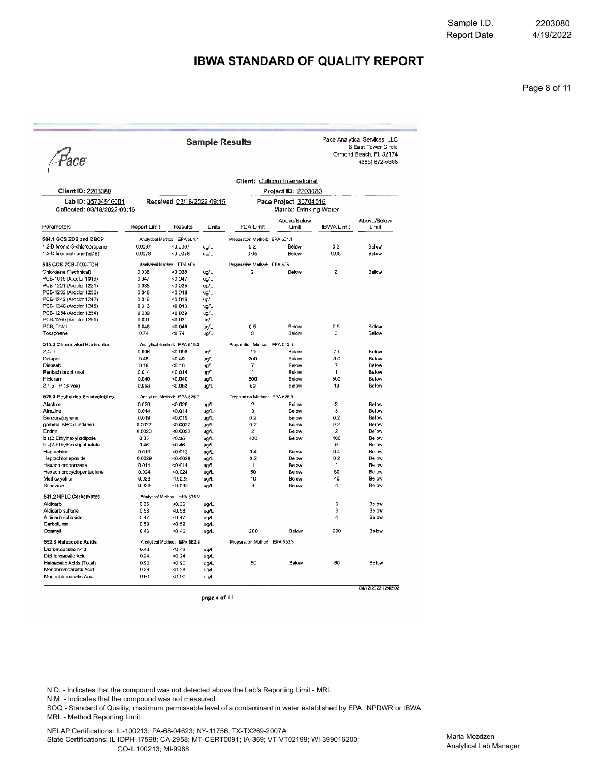4/19/2022 2203080

#### **IBWA STANDARD OF QUALITY REPORT**

Pace Analytical Services, LLC 8 East Tower Circle

Ormond Beach, FL 32174<br>(386) 672-5668

Page 8 of 11

Pace

|  |  | Sample Results |  |  |
|--|--|----------------|--|--|
|  |  |                |  |  |

| Lab ID: 35704516001<br>Collected: 03/18/2022 09:15<br>Parameters |                           |                              | <b>Client ID: 2203080</b> |                               |                      |                          |                      |
|------------------------------------------------------------------|---------------------------|------------------------------|---------------------------|-------------------------------|----------------------|--------------------------|----------------------|
|                                                                  | Received 03/18/2022 09:15 |                              | Pace Project 35704516     | Matrix: Drinking Water        |                      |                          |                      |
|                                                                  | Report Limit              | Results                      | Units                     | <b>FDA Limit</b>              | Above/Below<br>Limit | <b>IBWA Limit</b>        | Above/Below<br>Limit |
|                                                                  |                           |                              |                           |                               |                      |                          |                      |
| 504.1 GCS EDB and DBCP                                           |                           | Analytica! Method: EPA 504.1 |                           | Preparation Method: EPA 504.1 |                      |                          |                      |
| 1.2-Dibromo-3-chloropropane                                      | 0.0067                    | < 0.0067                     | ua/L                      | 0.2                           | Below                | 0.2                      | Below                |
| 1,2-Dibromoethane (EDB)                                          | 0.0078                    | < 0.0078                     | ug/L                      | 0.05                          | Below                | 0.05                     | Below                |
| 505 GCS PCB-TOX-TCH                                              |                           | Analytical Method: EPA 505   |                           | Preparation Method: EPA 505   |                      |                          |                      |
| Chlordane (Technical)                                            | 0.038                     | < 0.038                      | ug/L                      | $\overline{2}$                | Below                | $\overline{2}$           | Below                |
| PCB-1016 (Aroclor 1016)                                          | 0.047                     | < 0.047                      | ug/L                      |                               |                      |                          |                      |
| PCB-1221 (Arcclor 1221)                                          | 0.035                     | < 0.035                      | ug/L                      |                               |                      |                          |                      |
| PCB-1232 (Arador 1232)                                           | 0.048                     | $-0.048$                     | ug/L                      |                               |                      |                          |                      |
| PCB-1242 (Araclor 1242)                                          | 0.016                     | $-0.016$                     | ug/L                      |                               |                      |                          |                      |
| PCB-1248 (Aroclor 1248)                                          | 0.013                     | $-0.013$                     | ug/L                      |                               |                      |                          |                      |
| PCB-1254 (Aroclor 1254)                                          | 0.039                     | < 0.039                      | ug/L                      |                               |                      |                          |                      |
| PCB-1260 (Aroclor 1260)                                          | 0.031                     | $-0.031$                     | ug/L                      |                               |                      |                          |                      |
| PCB. Total                                                       | 0.048                     | < 0.048                      | ug/L                      | 0.5                           | Below                | 0.5                      | Below                |
| Toxaphene                                                        | 0.74                      | 50.74                        | ug/L                      | 3                             | Below                | 3                        | Below                |
| 515.3 Chlorinated Herbicides                                     |                           | Analytical Method: EPA 515.3 |                           | Preparation Method: EPA 515.3 |                      |                          |                      |
| $2.4-D$                                                          | 0.096                     | < 0.096                      | ug/L                      | 70                            | Below                | 70                       | Below                |
| Dalapon                                                          | 0.49                      | < 0.49                       | ua/L                      | 200                           | Below                | 200                      | Balow                |
| Dinoseb                                                          | 0.16                      | $-0.16$                      | ug/L                      | 7                             | Below                | $\overline{\mathcal{I}}$ | Below                |
| Pentachlorophenol                                                | 0.014                     | < 0.014                      | ug/L                      | 1                             | Below                | 1                        | Below                |
| Picloram                                                         | 0.040                     | < 0.040                      | ug/L                      | 500                           | Below                | 500                      | Below                |
| 2.4.5-TP (Silvex)                                                | 0.053                     | <0.053                       | ua/L                      | 50                            | Below                | 10                       | Below                |
| 525.3 Pesticides Semivolatiles                                   |                           | Analytical Method: EPA 525.3 |                           | Preparation Method: EPA 625.3 |                      |                          |                      |
| Alachior                                                         | 0.029                     | < 0.029                      | ug/L                      | $\overline{2}$                | Below                | $\mathbf{2}$             | Below                |
| Alrazine                                                         | 0.014                     | < 0.014                      | ug/L                      | 3                             | Below                | 3                        | Below                |
| Benzo(a)pyrene                                                   | 0.019                     | < 0.019                      | ug/L                      | 0.2                           | Below                | 0.2                      | Below                |
| gamma-BHC (Lindane)                                              | 0.0027                    | < 0.0027                     | ug/L                      | 0.2                           | Below                | 0.2                      | Below                |
| Endrin                                                           | 0.0023                    | < 0.0023                     | ug/L                      | $\overline{2}$                | Below                | $\overline{2}$           | Below                |
| bis(2-Ethylhexyl)adipate                                         | 0.35                      | < 0.35                       | uo/L                      | 400                           | <b>Eelow</b>         | 400                      | Below                |
| bis(2-Ethylhexyl)phthalate                                       | 0.46                      | < 0.46                       | ug/L                      |                               |                      | 6                        | Below                |
| Heptachior                                                       | 0.013                     | 50.013                       | ug/L                      | 0.4                           | Below                | 0.4                      | Below                |
| Heptachlor epoxide                                               | 0.0029                    | < 0.0029                     | ug/L                      | 0.2                           | Below                | 0.2                      | Below                |
| Hexachlorobenzene                                                | 0.014                     | < 0.014                      | uq/L                      | 1                             | Below                | 1                        | Below                |
| Hexachlorocyclopentadiene                                        | 0.024                     | < 0.024                      | ug/L                      | 50                            | Below                | 50                       | Below                |
| Methoxychlor                                                     | 0.023                     | < 0.023                      | ug/L                      | 40                            | Below                | 40                       | Below                |
| Simazine                                                         | 0.039                     | < 0.039                      | ug/L                      | 4                             | Below                | $\overline{\mathbf{4}}$  | Below                |
| 531.2 HPLC Carbamates                                            |                           | Analytica: Method: EPA 531.2 |                           |                               |                      |                          |                      |
| Aldicarb                                                         | 0.36                      | < 0.36                       | ug/L                      |                               |                      | 3                        | Below                |
| Aldicarb sulfone                                                 | 0.58                      | < 0.58                       | ug/L                      |                               |                      | 3                        | Below                |
| Aldicarb sulfoxide                                               | 0.47                      | < 0.47                       | ug/L                      |                               |                      | 4                        | Below                |
| Carbofuran                                                       | 0.59                      | < 0.59                       | ug/L                      |                               |                      |                          |                      |
| Oxamyl                                                           | 0.46                      | < 0.46                       | ug/L                      | 200                           | Below                | 200                      | Below                |
| 552.3 Haloacetic Acids                                           |                           | Analytical Method: EPA 552.3 |                           | Proparation Method: EPA 552.3 |                      |                          |                      |
|                                                                  |                           |                              |                           |                               |                      |                          |                      |
| Dibromoacetic Acid                                               | 0.43                      | $-0.43$                      | ug/L                      |                               |                      |                          |                      |
| Dichloroacetic Acid                                              | 0.24                      | < 0.24                       | ug/L                      |                               |                      |                          |                      |
| Haloacetic Acids (Total)                                         | 0.90                      | $-0.90$                      | ug/L                      | 60                            | Below                | 60                       | Below                |
| Monobromoacetic Acid<br>Monochloroacetic Acid                    | 0.29<br>0.90              | $-0.29$<br>$-0.90$           | ug/L<br>ug/L              |                               |                      |                          |                      |

page 4 of 11

N.D. - Indicates that the compound was not detected above the Lab's Reporting Limit - MRL

N.M. - Indicates that the compound was not measured.

SOQ - Standard of Quality, maximum permissable level of a contaminant in water established by EPA, NPDWR or IBWA. MRL - Method Reporting Limit.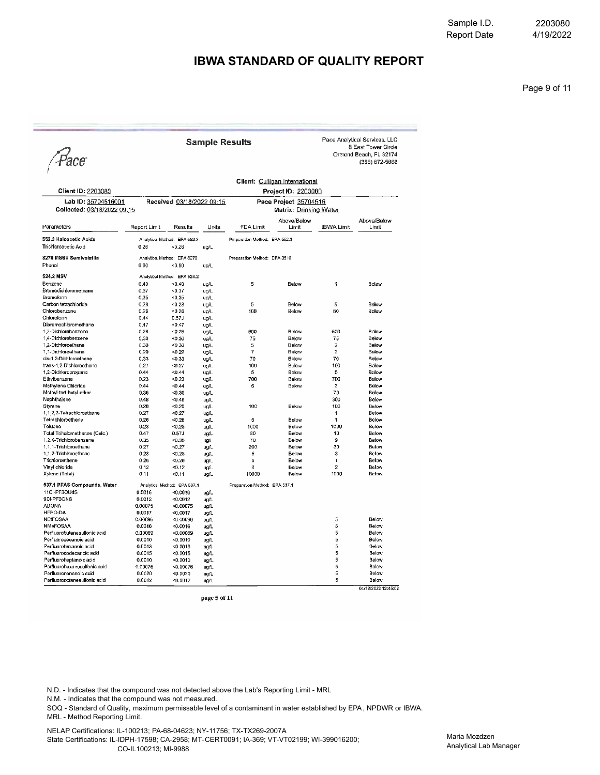4/19/2022 2203080

#### **IBWA STANDARD OF QUALITY REPORT**

Pace Analytical Services, LLC

Ormond Beach, FL 32174<br>(386) 672-5668

8 East Tower Circle

Page 9 of 11

Pace

|                               |                           | Client: Culligan International |       |                               |                        |                   |                      |
|-------------------------------|---------------------------|--------------------------------|-------|-------------------------------|------------------------|-------------------|----------------------|
| Client ID: 2203080            |                           |                                |       |                               | Project ID: 2203080    |                   |                      |
| Lab ID: 35704516001           | Received 03/18/2022 09:15 |                                |       | Pace Project 35704516         |                        |                   |                      |
| Collected: 03/18/2022 09:15   |                           |                                |       |                               | Matrix: Drinking Water |                   |                      |
| Parameters                    | Report Limit              | Results                        | Units | FDA Limit                     | Above/Below<br>Limit   | <b>IBWA Limit</b> | Above/Below<br>Limit |
| 552.3 Haloacetic Acids        |                           | Analytical Method: EPA 552.3   |       | Preparation Method: EPA 552.3 |                        |                   |                      |
| Trichloroacetic Acid          | 0.26                      | < 0.26                         | ug/L  |                               |                        |                   |                      |
| 8270 MSSV Semivolatile        |                           | Analytica: Method: EPA 8270    |       | Preparation Method: EPA 3510  |                        |                   |                      |
| Phenol                        | 0.60                      | $-0.60$                        | ug/L  |                               |                        |                   |                      |
| 524.2 MSV                     |                           | Analytical Method: EPA 524.2   |       |                               |                        |                   |                      |
| Benzene                       | 0.40                      | < 0.40                         | ug/L  | 5                             | Below                  | 1                 | Below                |
| <b>Bromodichloromethane</b>   | 0.37                      | 50.37                          | ug/L  |                               |                        |                   |                      |
| Bromoform                     | 0.35                      | 40.35                          | ug/L  |                               |                        |                   |                      |
| Carbon tetrachioride          | 0.28                      | < 0.28                         | ug/L  | 5                             | Below                  | 5                 | Below                |
| Chlorobenzene                 | 0.26                      | $-0.26$                        | ug/L  | 100                           | Below                  | 50                | Below                |
| Chloroform                    | 0.44                      | 0.57J                          |       |                               |                        |                   |                      |
| Dibromochloromethane          |                           |                                | ug/L  |                               |                        |                   |                      |
|                               | 0.47                      | 40.47                          | ug/L  |                               |                        | 600               |                      |
| 1,2-Dichiorobenzene           | 0.26                      | < 0.26                         | ug/L  | 600                           | Below                  |                   | Below                |
| 1,4-Dichlorobenzene           | 0.30                      | $-0.30$                        | ug/L  | 75                            | Below                  | 75                | Below                |
| 1,2-Dichloroethane            | 0.30                      | < 0.30                         | ug/L  | 5                             | Below                  | $\overline{2}$    | Below                |
| 1.1-Dichloroethene            | 0.29                      | $-0.29$                        | ug/L  | 7                             | Below                  | $\overline{2}$    | Below                |
| cis-1.2-Dichloroethene        | 0.33                      | $-0.33$                        | ug/L  | 70                            | Below                  | 70                | Below                |
| trans-1,2-Dichloroethene      | 0.27                      | < 0.27                         | ug/L  | 100                           | Below                  | 100               | Below                |
| 1,2-Dichloropropane           | 0.44                      | $-0.44$                        | ug/L  | 5                             | Below                  | 5                 | Below                |
| Ethylbenzene                  | D.23                      | < 0.23                         | ug/L  | 700                           | Below                  | 700               | Below                |
| Methylene Chioride            | 0.44                      | < 0.44                         | ug/L  | 5                             | Below                  | 3                 | Below                |
| Methyl-tert-butyl ether       | 0.36                      | < 0.36                         | ug/L  |                               |                        | 70                | Below                |
| Naphthalene                   | 0.48                      | < 0.48                         | ug/L  |                               |                        | 300               | Below                |
| Styrene                       | 0.20                      | < 0.20                         | ug/L  | 100                           | Balow                  | 100               | <b>Below</b>         |
| 1,1,2,2-Tetrachloroethane     | 0.27                      | < 0.27                         | ug/L  |                               |                        | 1                 | Below                |
| Tetrachloroethene             | 0.26                      | < 0.26                         | ug/L  | 5                             | Below                  | 1                 | Below                |
| Toluene                       | 0.28                      | $-0.28$                        | ua/L  | 1000                          | Below                  | 1000              | Below                |
| Total Trihalomethanes (Calc.) | 0.47                      | 0.57J                          | ua/L  | 80                            | Below                  | 10                | Below                |
| 1,2,4-Trichlorobenzene        | 0.35                      | < 0.35                         | ug/L  | 70                            | Balow                  | ð.                | Below                |
| 1.1.1-Trichloroethane         | 0.27                      | < 0.27                         | ug/L  | 200                           | Below                  | 30                | Below                |
| 1,1,2-Trichloroethane         | 0.28                      | < 0.28                         | ug/L  | 6                             | Below                  | 3                 | Below                |
| Trichloroethene               | 0.26                      | < 0.26                         | ug/L  | 5                             | Below                  | 1                 | Below                |
| Vinyl chloride                | 0.12                      | < 0.12                         | ug/L  | $\overline{a}$                | Below                  | $\overline{2}$    | Below                |
| Xylene (Tolal)                | 0.11                      | 40.11                          | ug/L  | 10000                         | Below                  | 1000              | Below                |
| 537.1 PFAS Compounds, Water   |                           | Analytical Method: EPA 537.1   |       | Preparation Method: EPA 537.1 |                        |                   |                      |
| 11Cl-PF3OUdS                  | 0.0016                    | < 0.0016                       | ug/L  |                               |                        |                   |                      |
| 9CI-PF3ONS                    | 0.0012                    | < 0.0012                       | ug/L  |                               |                        |                   |                      |
| <b>ADONA</b>                  | 0.00075                   | < 0.00075                      | ug/L  |                               |                        |                   |                      |
| HFPO-DA                       | 0.0017                    | < 0.0017                       | ug/L  |                               |                        |                   |                      |
| <b>NEIFOSAA</b>               | 0.00096                   | <0.00096                       | ug/L  |                               |                        | 5                 | Below                |
| <b>NMeFOSAA</b>               | 0.0016                    | < 0.0016                       | ug/L  |                               |                        | 5                 | Below                |
| Perfluorobutanesulfonic acid  | 0.00069                   | < 0.00069                      | ug/L  |                               |                        | 5                 | Below                |
| Perfluorodecanoic acid        | 0.0010                    | < 0.0010                       | ug/L  |                               |                        | 5                 | Below                |
| Perfluorohexanoic acid        | 0.0013                    | < 0.0013                       | ug/L  |                               |                        | 5                 | Below                |
| Perfluorododecanolc acid      |                           |                                |       |                               |                        | 5                 | Below                |
|                               | 0.0015                    | < 0.0015                       | ug/L  |                               |                        | 5                 |                      |
| Perfluoroheptanoic acid       | 0.0010                    | < 0.0010                       | ug/L  |                               |                        |                   | Below                |
| Perfluorohexanesulfonic acid  | 0.00076                   | < 0.00076                      | ug/L  |                               |                        | 5                 | Below                |
| Perfluorononanoic acid        | 0.0020                    | < 0.0020                       | ug/L  |                               |                        | 5                 | Below                |
| Perfluorooctanesulfonic acid  | 0.0012                    | < 0.0012                       | ug/L  |                               |                        | 5                 | Below                |
|                               |                           |                                |       |                               |                        |                   | 04/12/2022 12:45:02  |

**Sample Results** 

page 5 of 11

N.D. - Indicates that the compound was not detected above the Lab's Reporting Limit - MRL

N.M. - Indicates that the compound was not measured.

SOQ - Standard of Quality, maximum permissable level of a contaminant in water established by EPA, NPDWR or IBWA. MRL - Method Reporting Limit.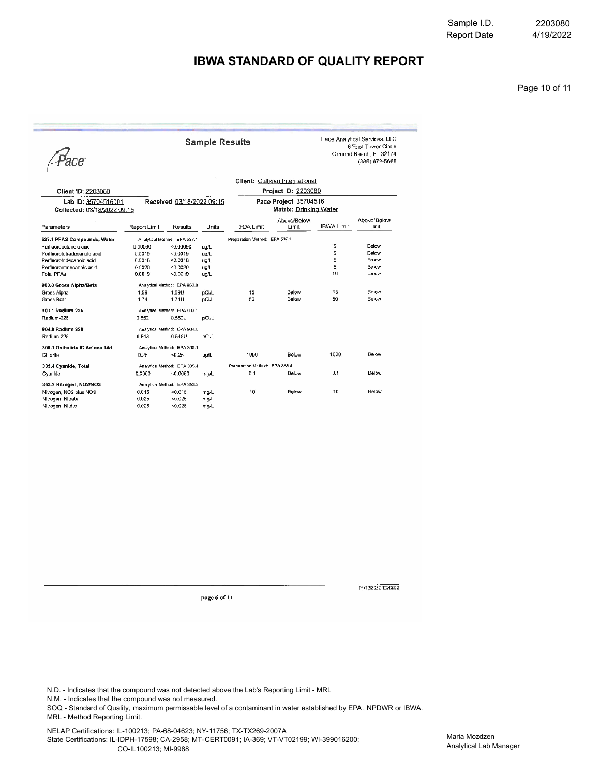4/19/2022 2203080

### **IBWA STANDARD OF QUALITY REPORT**

Page 10 of 11

Pace

**Sample Results** 

Pace Analytical Services, LLC 8 East Tower Circle<br>8 East Tower Circle<br>Crmond Beach, FL 32174<br>(386) 672-5668

|                               |              | Client: Culligan International |       |                               |                        |                   |                      |  |  |  |
|-------------------------------|--------------|--------------------------------|-------|-------------------------------|------------------------|-------------------|----------------------|--|--|--|
| Client ID: 2203080            |              |                                |       | Project ID: 2203080           |                        |                   |                      |  |  |  |
| Lab ID: 35704516001           |              | Received 03/18/2022 09:15      |       | Pace Project 35704516         |                        |                   |                      |  |  |  |
| Collected: 03/18/2022 09:15   |              |                                |       |                               | Matrix: Drinking Water |                   |                      |  |  |  |
| Parameters                    | Report Limit | Results                        | Units | FDA Limit                     | Above/Below<br>Limit   | <b>IBWA Limit</b> | Above/Below<br>Limit |  |  |  |
| 537.1 PFAS Compounds, Water   |              | Analytical Method: EPA 537.1   |       | Preparation Method: EPA 537.1 |                        |                   |                      |  |  |  |
| Perfluoropolanoio acid        | 0.00090      | < 0.00090                      | ug/L  |                               |                        | 5                 | Below                |  |  |  |
| Perfluorotetradecanoic acid   | 0.0019       | < 0.0019                       | ug/L  |                               |                        | 5                 | Below                |  |  |  |
| Perfluorotridecanoic acid     | 0.0018       | < 0.0016                       | ug/L  |                               |                        | 5                 | Below                |  |  |  |
| Perfluoroundecanoic acid      | 0.0020       | < 0.0020                       | ug/L  |                               |                        | 5                 | Below                |  |  |  |
| <b>Total PFAs</b>             | 0.0019       | 0.0019                         | ug/L  |                               |                        | 10                | Below                |  |  |  |
| 900.0 Gross Alpha/Beta        |              | Analytical Method: EPA 900.0   |       |                               |                        |                   |                      |  |  |  |
| Gross Alpha                   | 1.59         | 1.59U                          | pCi/L | 15                            | Below                  | 15                | Below                |  |  |  |
| Gross Beta                    | 1.74         | 1.74U                          | pCi/L | 50                            | Below                  | 50                | Below                |  |  |  |
| 903.1 Radium 226              |              | Analytical Method: EPA 903.1   |       |                               |                        |                   |                      |  |  |  |
| Radium-226                    | 0.552        | $0.552$ U                      | pCi/L |                               |                        |                   |                      |  |  |  |
| 904.0 Radium 228              |              | Analytical Method: EPA 904.0   |       |                               |                        |                   |                      |  |  |  |
| Radium-228                    | 0.848        | 0.848U                         | pCi/L |                               |                        |                   |                      |  |  |  |
| 300.1 Oxihatide IC Aniona 14d |              | Analytical Method: EPA 300.1   |       |                               |                        |                   |                      |  |  |  |
| Chlorite                      | 0.25         | $-0.25$                        | ug/L  | 1000                          | Below                  | 1000              | Below                |  |  |  |
| 335.4 Cyanide, Total          |              | Analytical Method: EPA 335.4   |       | Preparation Method: EPA 335.4 |                        |                   |                      |  |  |  |
| Cyanide                       | 0.0050       | < 0.0050                       | mg/L  | 0.1                           | Below                  | 0.1               | Below                |  |  |  |
| 353.2 Nitrogen, NO2/NO3       |              | Analytical Method: EPA 353.2   |       |                               |                        |                   |                      |  |  |  |
| Nitrogen, NO2 plus NO3        | 0.015        | < 0.016                        | mg/L  | 10                            | Below                  | 10                | Below                |  |  |  |
| Nitrogen, Nitrate             | 0.025        | < 0.025                        | mg/L  |                               |                        |                   |                      |  |  |  |
| Nitrogen. Nitrite             | 0.025        | < 0.025                        | mg/L  |                               |                        |                   |                      |  |  |  |

page 6 of 11

04/12/2022 12:45:02

N.D. - Indicates that the compound was not detected above the Lab's Reporting Limit - MRL

N.M. - Indicates that the compound was not measured.

SOQ - Standard of Quality, maximum permissable level of a contaminant in water established by EPA, NPDWR or IBWA. MRL - Method Reporting Limit.